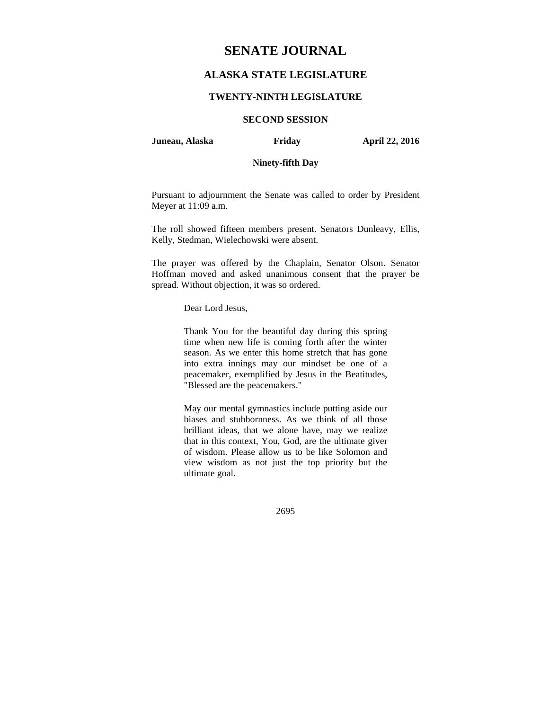# **SENATE JOURNAL**

# **ALASKA STATE LEGISLATURE**

### **TWENTY-NINTH LEGISLATURE**

# **SECOND SESSION**

#### **Juneau, Alaska Friday April 22, 2016**

# **Ninety-fifth Day**

Pursuant to adjournment the Senate was called to order by President Meyer at 11:09 a.m.

The roll showed fifteen members present. Senators Dunleavy, Ellis, Kelly, Stedman, Wielechowski were absent.

The prayer was offered by the Chaplain, Senator Olson. Senator Hoffman moved and asked unanimous consent that the prayer be spread. Without objection, it was so ordered.

Dear Lord Jesus,

Thank You for the beautiful day during this spring time when new life is coming forth after the winter season. As we enter this home stretch that has gone into extra innings may our mindset be one of a peacemaker, exemplified by Jesus in the Beatitudes, "Blessed are the peacemakers."

May our mental gymnastics include putting aside our biases and stubbornness. As we think of all those brilliant ideas, that we alone have, may we realize that in this context, You, God, are the ultimate giver of wisdom. Please allow us to be like Solomon and view wisdom as not just the top priority but the ultimate goal.

2695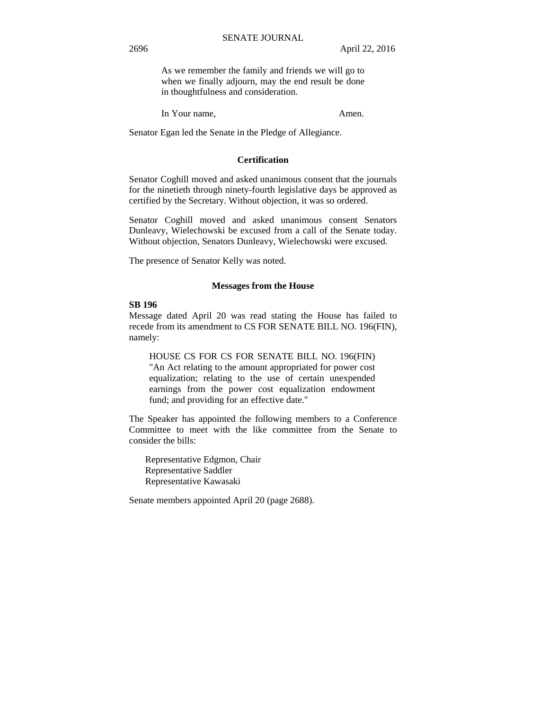As we remember the family and friends we will go to when we finally adjourn, may the end result be done in thoughtfulness and consideration.

In Your name, Amen.

Senator Egan led the Senate in the Pledge of Allegiance.

## **Certification**

Senator Coghill moved and asked unanimous consent that the journals for the ninetieth through ninety-fourth legislative days be approved as certified by the Secretary. Without objection, it was so ordered.

Senator Coghill moved and asked unanimous consent Senators Dunleavy, Wielechowski be excused from a call of the Senate today. Without objection, Senators Dunleavy, Wielechowski were excused.

The presence of Senator Kelly was noted.

#### **Messages from the House**

#### **SB 196**

Message dated April 20 was read stating the House has failed to recede from its amendment to CS FOR SENATE BILL NO. 196(FIN), namely:

HOUSE CS FOR CS FOR SENATE BILL NO. 196(FIN) "An Act relating to the amount appropriated for power cost equalization; relating to the use of certain unexpended earnings from the power cost equalization endowment fund; and providing for an effective date."

The Speaker has appointed the following members to a Conference Committee to meet with the like committee from the Senate to consider the bills:

 Representative Edgmon, Chair Representative Saddler Representative Kawasaki

Senate members appointed April 20 (page 2688).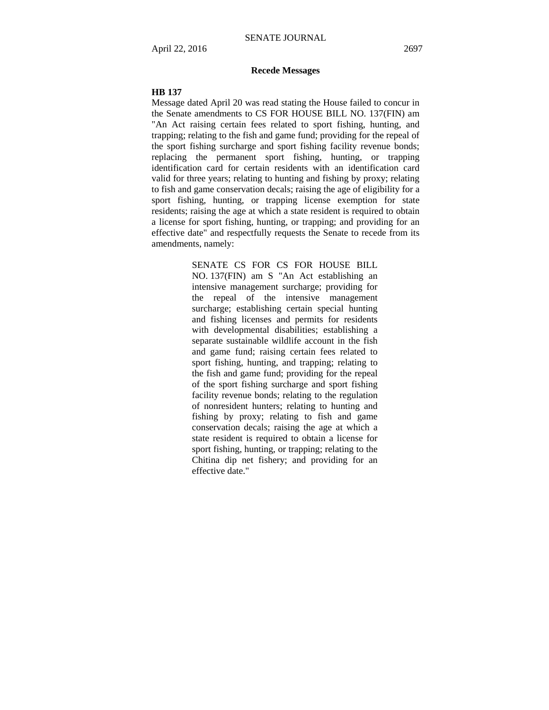## **Recede Messages**

#### **HB 137**

Message dated April 20 was read stating the House failed to concur in the Senate amendments to CS FOR HOUSE BILL NO. 137(FIN) am "An Act raising certain fees related to sport fishing, hunting, and trapping; relating to the fish and game fund; providing for the repeal of the sport fishing surcharge and sport fishing facility revenue bonds; replacing the permanent sport fishing, hunting, or trapping identification card for certain residents with an identification card valid for three years; relating to hunting and fishing by proxy; relating to fish and game conservation decals; raising the age of eligibility for a sport fishing, hunting, or trapping license exemption for state residents; raising the age at which a state resident is required to obtain a license for sport fishing, hunting, or trapping; and providing for an effective date" and respectfully requests the Senate to recede from its amendments, namely:

> SENATE CS FOR CS FOR HOUSE BILL NO. 137(FIN) am S "An Act establishing an intensive management surcharge; providing for the repeal of the intensive management surcharge; establishing certain special hunting and fishing licenses and permits for residents with developmental disabilities; establishing a separate sustainable wildlife account in the fish and game fund; raising certain fees related to sport fishing, hunting, and trapping; relating to the fish and game fund; providing for the repeal of the sport fishing surcharge and sport fishing facility revenue bonds; relating to the regulation of nonresident hunters; relating to hunting and fishing by proxy; relating to fish and game conservation decals; raising the age at which a state resident is required to obtain a license for sport fishing, hunting, or trapping; relating to the Chitina dip net fishery; and providing for an effective date."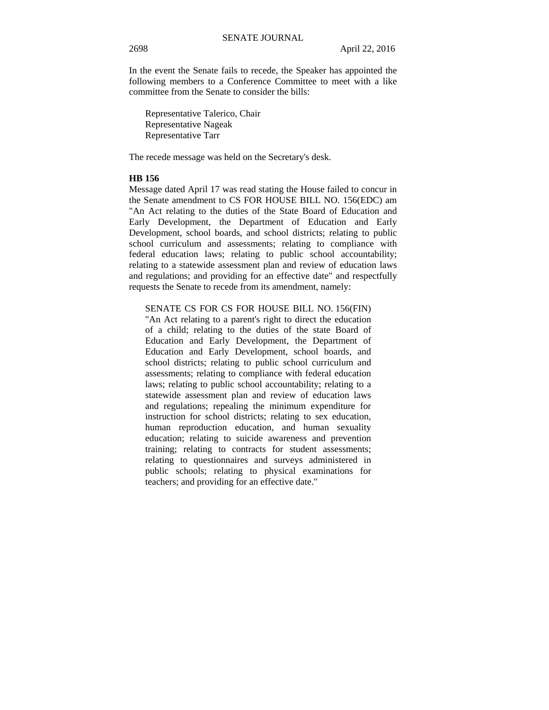In the event the Senate fails to recede, the Speaker has appointed the following members to a Conference Committee to meet with a like committee from the Senate to consider the bills:

Representative Talerico, Chair Representative Nageak Representative Tarr

The recede message was held on the Secretary's desk.

## **HB 156**

Message dated April 17 was read stating the House failed to concur in the Senate amendment to CS FOR HOUSE BILL NO. 156(EDC) am "An Act relating to the duties of the State Board of Education and Early Development, the Department of Education and Early Development, school boards, and school districts; relating to public school curriculum and assessments; relating to compliance with federal education laws; relating to public school accountability; relating to a statewide assessment plan and review of education laws and regulations; and providing for an effective date" and respectfully requests the Senate to recede from its amendment, namely:

SENATE CS FOR CS FOR HOUSE BILL NO. 156(FIN)

"An Act relating to a parent's right to direct the education of a child; relating to the duties of the state Board of Education and Early Development, the Department of Education and Early Development, school boards, and school districts; relating to public school curriculum and assessments; relating to compliance with federal education laws; relating to public school accountability; relating to a statewide assessment plan and review of education laws and regulations; repealing the minimum expenditure for instruction for school districts; relating to sex education, human reproduction education, and human sexuality education; relating to suicide awareness and prevention training; relating to contracts for student assessments; relating to questionnaires and surveys administered in public schools; relating to physical examinations for teachers; and providing for an effective date."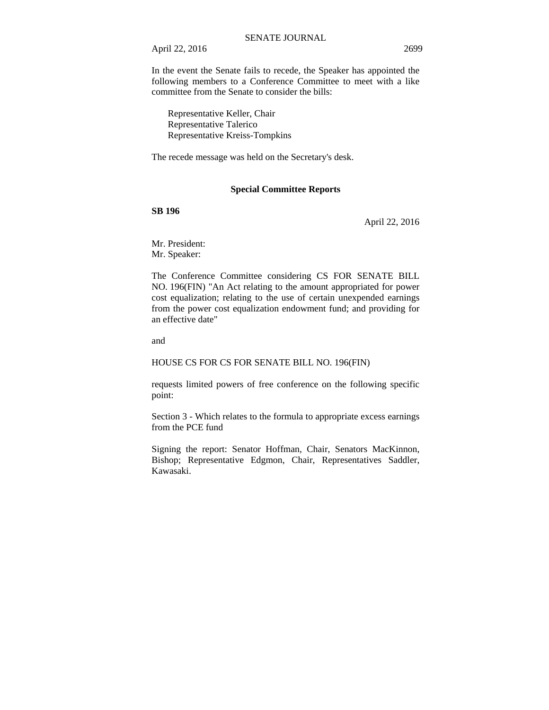April 22, 2016 2699

In the event the Senate fails to recede, the Speaker has appointed the following members to a Conference Committee to meet with a like committee from the Senate to consider the bills:

Representative Keller, Chair Representative Talerico Representative Kreiss-Tompkins

The recede message was held on the Secretary's desk.

### **Special Committee Reports**

### **SB 196**

April 22, 2016

Mr. President: Mr. Speaker:

The Conference Committee considering CS FOR SENATE BILL NO. 196(FIN) "An Act relating to the amount appropriated for power cost equalization; relating to the use of certain unexpended earnings from the power cost equalization endowment fund; and providing for an effective date"

and

#### HOUSE CS FOR CS FOR SENATE BILL NO. 196(FIN)

requests limited powers of free conference on the following specific point:

Section 3 - Which relates to the formula to appropriate excess earnings from the PCE fund

Signing the report: Senator Hoffman, Chair, Senators MacKinnon, Bishop; Representative Edgmon, Chair, Representatives Saddler, Kawasaki.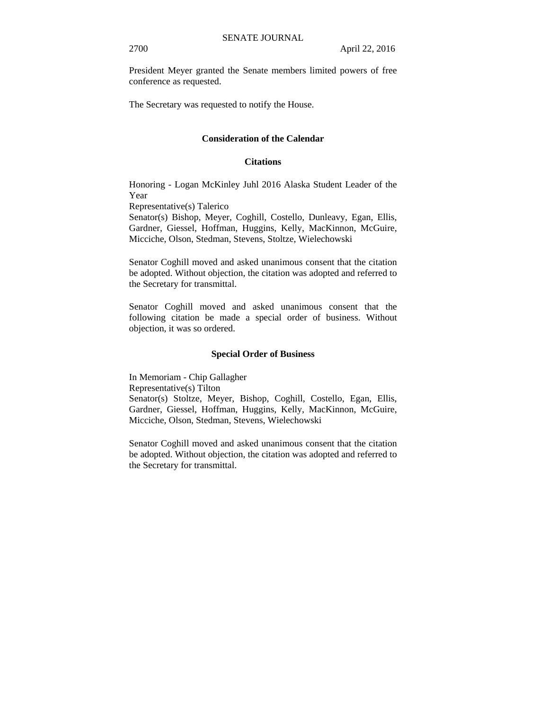President Meyer granted the Senate members limited powers of free conference as requested.

The Secretary was requested to notify the House.

## **Consideration of the Calendar**

#### **Citations**

Honoring - Logan McKinley Juhl 2016 Alaska Student Leader of the Year

Representative(s) Talerico

Senator(s) Bishop, Meyer, Coghill, Costello, Dunleavy, Egan, Ellis, Gardner, Giessel, Hoffman, Huggins, Kelly, MacKinnon, McGuire, Micciche, Olson, Stedman, Stevens, Stoltze, Wielechowski

Senator Coghill moved and asked unanimous consent that the citation be adopted. Without objection, the citation was adopted and referred to the Secretary for transmittal.

Senator Coghill moved and asked unanimous consent that the following citation be made a special order of business. Without objection, it was so ordered.

#### **Special Order of Business**

In Memoriam - Chip Gallagher Representative(s) Tilton Senator(s) Stoltze, Meyer, Bishop, Coghill, Costello, Egan, Ellis, Gardner, Giessel, Hoffman, Huggins, Kelly, MacKinnon, McGuire, Micciche, Olson, Stedman, Stevens, Wielechowski

Senator Coghill moved and asked unanimous consent that the citation be adopted. Without objection, the citation was adopted and referred to the Secretary for transmittal.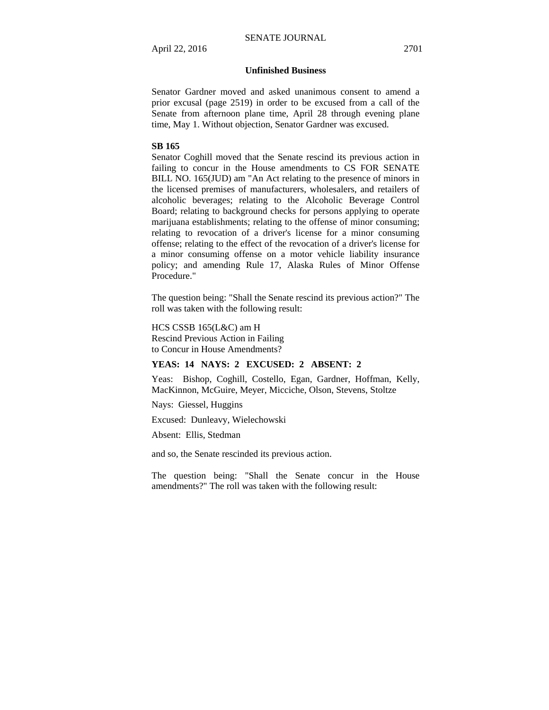#### **Unfinished Business**

Senator Gardner moved and asked unanimous consent to amend a prior excusal (page 2519) in order to be excused from a call of the Senate from afternoon plane time, April 28 through evening plane time, May 1. Without objection, Senator Gardner was excused.

#### **SB 165**

Senator Coghill moved that the Senate rescind its previous action in failing to concur in the House amendments to CS FOR SENATE BILL NO. 165(JUD) am "An Act relating to the presence of minors in the licensed premises of manufacturers, wholesalers, and retailers of alcoholic beverages; relating to the Alcoholic Beverage Control Board; relating to background checks for persons applying to operate marijuana establishments; relating to the offense of minor consuming; relating to revocation of a driver's license for a minor consuming offense; relating to the effect of the revocation of a driver's license for a minor consuming offense on a motor vehicle liability insurance policy; and amending Rule 17, Alaska Rules of Minor Offense Procedure."

The question being: "Shall the Senate rescind its previous action?" The roll was taken with the following result:

HCS CSSB 165(L&C) am H Rescind Previous Action in Failing to Concur in House Amendments?

## **YEAS: 14 NAYS: 2 EXCUSED: 2 ABSENT: 2**

Yeas: Bishop, Coghill, Costello, Egan, Gardner, Hoffman, Kelly, MacKinnon, McGuire, Meyer, Micciche, Olson, Stevens, Stoltze

Nays: Giessel, Huggins

Excused: Dunleavy, Wielechowski

Absent: Ellis, Stedman

and so, the Senate rescinded its previous action.

The question being: "Shall the Senate concur in the House amendments?" The roll was taken with the following result: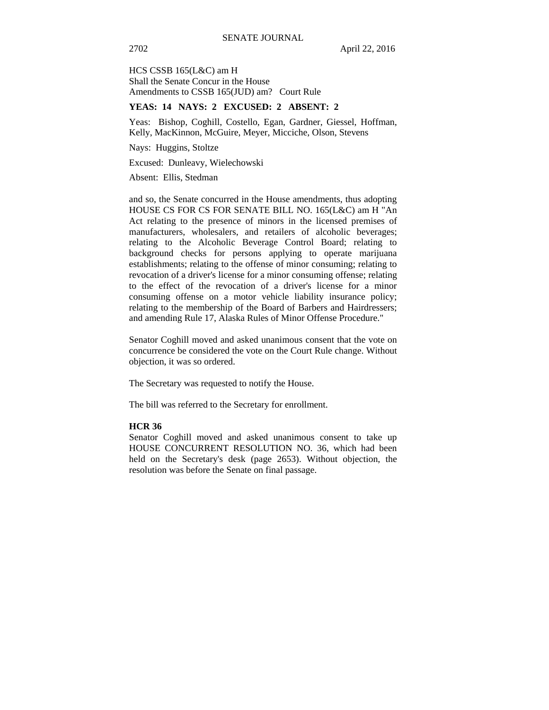HCS CSSB 165(L&C) am H Shall the Senate Concur in the House Amendments to CSSB 165(JUD) am? Court Rule

#### **YEAS: 14 NAYS: 2 EXCUSED: 2 ABSENT: 2**

Yeas: Bishop, Coghill, Costello, Egan, Gardner, Giessel, Hoffman, Kelly, MacKinnon, McGuire, Meyer, Micciche, Olson, Stevens

Nays: Huggins, Stoltze

Excused: Dunleavy, Wielechowski

Absent: Ellis, Stedman

and so, the Senate concurred in the House amendments, thus adopting HOUSE CS FOR CS FOR SENATE BILL NO. 165(L&C) am H "An Act relating to the presence of minors in the licensed premises of manufacturers, wholesalers, and retailers of alcoholic beverages; relating to the Alcoholic Beverage Control Board; relating to background checks for persons applying to operate marijuana establishments; relating to the offense of minor consuming; relating to revocation of a driver's license for a minor consuming offense; relating to the effect of the revocation of a driver's license for a minor consuming offense on a motor vehicle liability insurance policy; relating to the membership of the Board of Barbers and Hairdressers; and amending Rule 17, Alaska Rules of Minor Offense Procedure."

Senator Coghill moved and asked unanimous consent that the vote on concurrence be considered the vote on the Court Rule change. Without objection, it was so ordered.

The Secretary was requested to notify the House.

The bill was referred to the Secretary for enrollment.

### **HCR 36**

Senator Coghill moved and asked unanimous consent to take up HOUSE CONCURRENT RESOLUTION NO. 36, which had been held on the Secretary's desk (page 2653). Without objection, the resolution was before the Senate on final passage.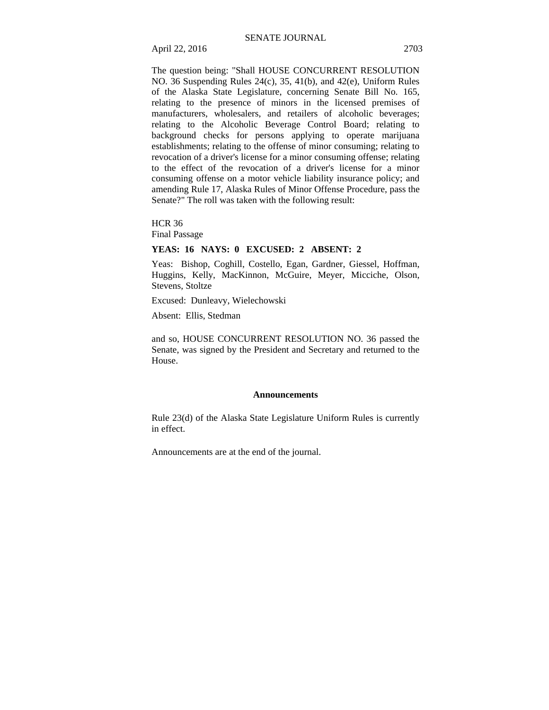April 22, 2016 2703

The question being: "Shall HOUSE CONCURRENT RESOLUTION NO. 36 Suspending Rules 24(c), 35, 41(b), and 42(e), Uniform Rules of the Alaska State Legislature, concerning Senate Bill No. 165, relating to the presence of minors in the licensed premises of manufacturers, wholesalers, and retailers of alcoholic beverages; relating to the Alcoholic Beverage Control Board; relating to background checks for persons applying to operate marijuana establishments; relating to the offense of minor consuming; relating to revocation of a driver's license for a minor consuming offense; relating to the effect of the revocation of a driver's license for a minor consuming offense on a motor vehicle liability insurance policy; and amending Rule 17, Alaska Rules of Minor Offense Procedure, pass the Senate?" The roll was taken with the following result:

HCR 36

Final Passage

### **YEAS: 16 NAYS: 0 EXCUSED: 2 ABSENT: 2**

Yeas: Bishop, Coghill, Costello, Egan, Gardner, Giessel, Hoffman, Huggins, Kelly, MacKinnon, McGuire, Meyer, Micciche, Olson, Stevens, Stoltze

Excused: Dunleavy, Wielechowski

Absent: Ellis, Stedman

and so, HOUSE CONCURRENT RESOLUTION NO. 36 passed the Senate, was signed by the President and Secretary and returned to the House.

#### **Announcements**

Rule 23(d) of the Alaska State Legislature Uniform Rules is currently in effect.

Announcements are at the end of the journal.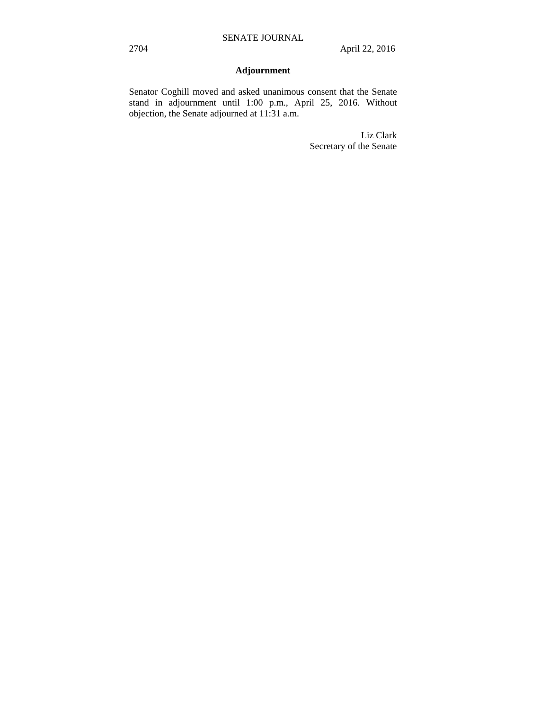# **Adjournment**

Senator Coghill moved and asked unanimous consent that the Senate stand in adjournment until 1:00 p.m., April 25, 2016. Without objection, the Senate adjourned at 11:31 a.m.

> Liz Clark Secretary of the Senate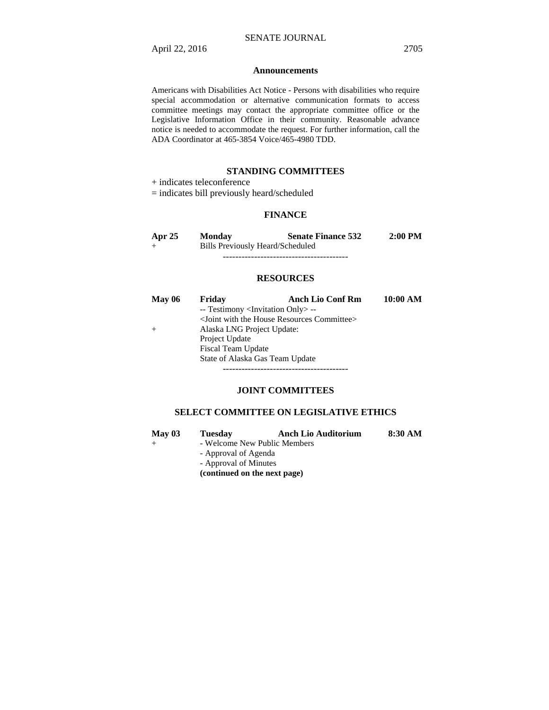#### **Announcements**

Americans with Disabilities Act Notice - Persons with disabilities who require special accommodation or alternative communication formats to access committee meetings may contact the appropriate committee office or the Legislative Information Office in their community. Reasonable advance notice is needed to accommodate the request. For further information, call the ADA Coordinator at 465-3854 Voice/465-4980 TDD.

#### **STANDING COMMITTEES**

+ indicates teleconference

= indicates bill previously heard/scheduled

# **FINANCE**

| Apr $25$ | <b>Monday</b>                    | <b>Senate Finance 532</b> | $2:00$ PM |
|----------|----------------------------------|---------------------------|-----------|
| $^{+}$   | Bills Previously Heard/Scheduled |                           |           |
|          |                                  |                           |           |

#### **RESOURCES**

| <b>May 06</b> | Friday                                            | <b>Anch Lio Conf Rm</b>                                           | 10:00 AM |
|---------------|---------------------------------------------------|-------------------------------------------------------------------|----------|
|               | -- Testimony <invitation only=""> --</invitation> |                                                                   |          |
|               |                                                   | <joint committee="" house="" resources="" the="" with=""></joint> |          |
| $^{+}$        | Alaska LNG Project Update:                        |                                                                   |          |
|               | Project Update                                    |                                                                   |          |
|               | <b>Fiscal Team Update</b>                         |                                                                   |          |
|               | State of Alaska Gas Team Update                   |                                                                   |          |
|               |                                                   |                                                                   |          |

# **JOINT COMMITTEES**

## **SELECT COMMITTEE ON LEGISLATIVE ETHICS**

| May $03$ | <b>Tuesday</b>               | <b>Anch Lio Auditorium</b> | 8:30 AM |
|----------|------------------------------|----------------------------|---------|
|          | - Welcome New Public Members |                            |         |
|          | - Approval of Agenda         |                            |         |
|          | - Approval of Minutes        |                            |         |
|          | (continued on the next page) |                            |         |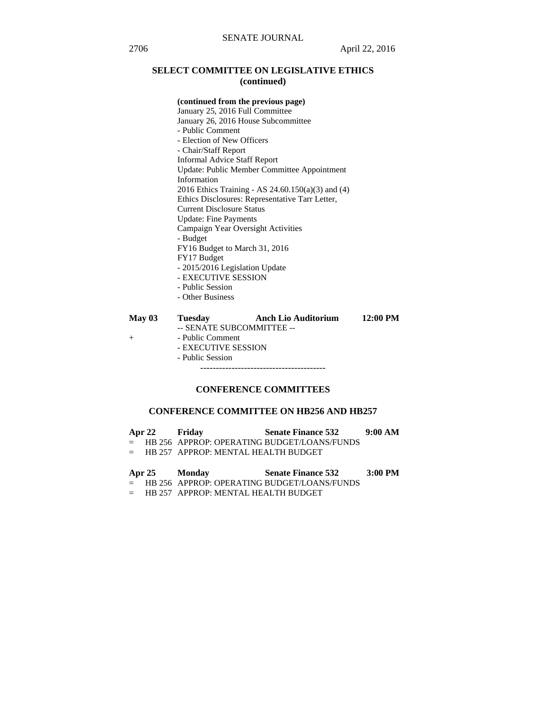# **SELECT COMMITTEE ON LEGISLATIVE ETHICS (continued)**

## **(continued from the previous page)**

 January 25, 2016 Full Committee January 26, 2016 House Subcommittee - Public Comment - Election of New Officers - Chair/Staff Report Informal Advice Staff Report Update: Public Member Committee Appointment Information 2016 Ethics Training - AS 24.60.150(a)(3) and (4) Ethics Disclosures: Representative Tarr Letter, Current Disclosure Status Update: Fine Payments Campaign Year Oversight Activities - Budget FY16 Budget to March 31, 2016 FY17 Budget - 2015/2016 Legislation Update - EXECUTIVE SESSION - Public Session - Other Business

| May $03$ | <b>Tuesday</b>      | <b>Anch Lio Auditorium</b> | $12:00$ PM |
|----------|---------------------|----------------------------|------------|
|          |                     | -- SENATE SUBCOMMITTEE --  |            |
|          | - Public Comment    |                            |            |
|          | - EXECUTIVE SESSION |                            |            |
|          | - Public Session    |                            |            |
|          |                     |                            |            |
|          |                     |                            |            |

# **CONFERENCE COMMITTEES**

## **CONFERENCE COMMITTEE ON HB256 AND HB257**

| Apr 22 Friday |                                         | <b>Senate Finance 532</b>                     | 9:00 AM |
|---------------|-----------------------------------------|-----------------------------------------------|---------|
|               |                                         | = HB 256 APPROP: OPERATING BUDGET/LOANS/FUNDS |         |
|               | $=$ HB 257 APPROP: MENTAL HEALTH BUDGET |                                               |         |
|               |                                         |                                               |         |
|               |                                         |                                               |         |
|               | Apr 25 Monday                           | Senate Finance 532 3:00 PM                    |         |
|               |                                         | = HB 256 APPROP: OPERATING BUDGET/LOANS/FUNDS |         |